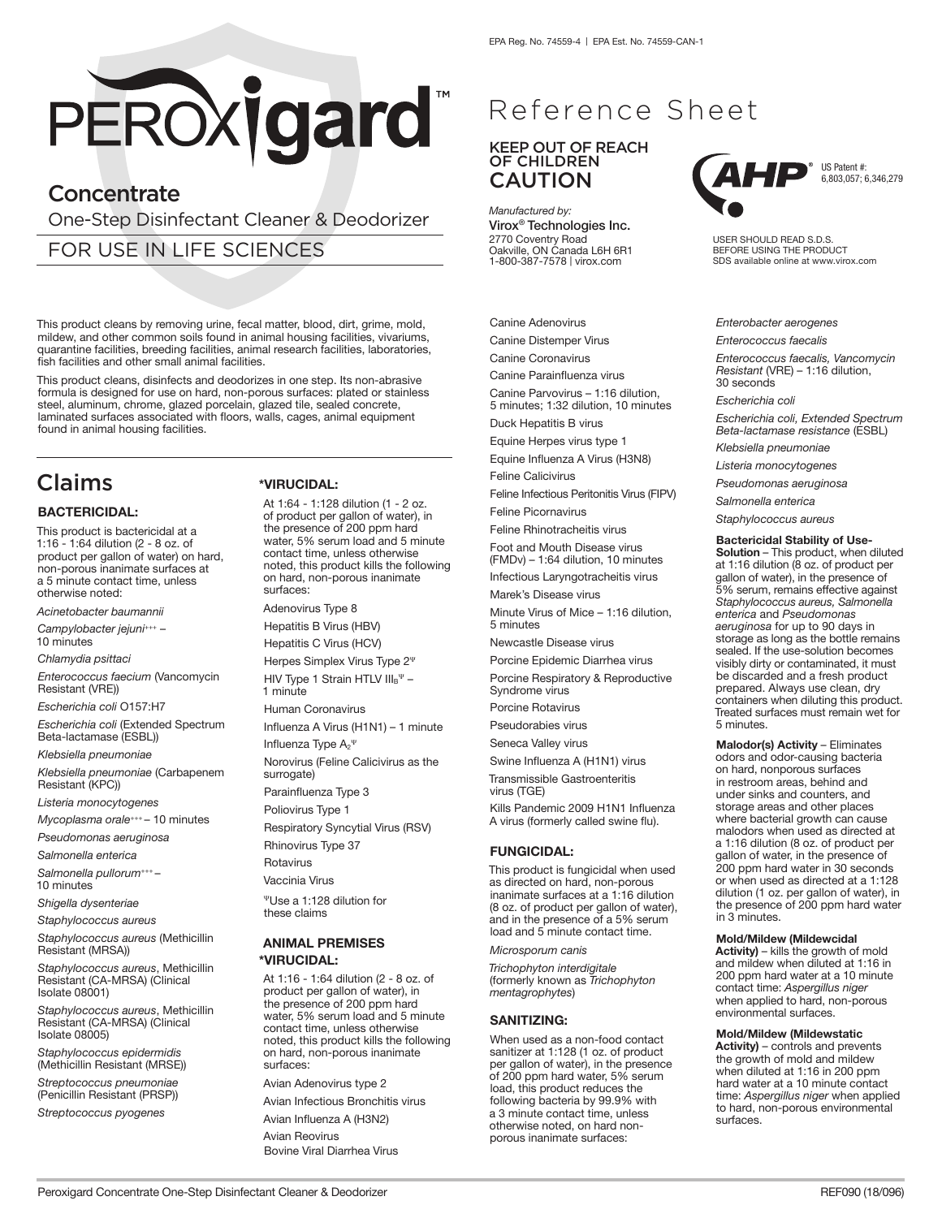# **Concentrate**

One-Step Disinfectant Cleaner & Deodorizer

# FOR USE IN LIFE SCIENCES

This product cleans by removing urine, fecal matter, blood, dirt, grime, mold, mildew, and other common soils found in animal housing facilities, vivariums, quarantine facilities, breeding facilities, animal research facilities, laboratories, fish facilities and other small animal facilities.

This product cleans, disinfects and deodorizes in one step. Its non-abrasive formula is designed for use on hard, non-porous surfaces: plated or stainless steel, aluminum, chrome, glazed porcelain, glazed tile, sealed concrete, laminated surfaces associated with floors, walls, cages, animal equipment found in animal housing facilities.

# Claims

### **BACTERICIDAL:**

This product is bactericidal at a 1:16 - 1:64 dilution (2 - 8 oz. of product per gallon of water) on hard, non-porous inanimate surfaces at a 5 minute contact time, unless otherwise noted:

*Acinetobacter baumannii* 

*Campylobacter jejuni+++* – 10 minutes

*Chlamydia psittaci* 

*Enterococcus faecium* (Vancomycin Resistant (VRE))

*Escherichia coli* O157:H7 *Escherichia coli* (Extended Spectrum

Beta-lactamase (ESBL)) *Klebsiella pneumoniae* 

*Klebsiella pneumoniae* (Carbapenem Resistant (KPC))

*Listeria monocytogenes* 

*Mycoplasma orale+++* – 10 minutes

*Pseudomonas aeruginosa* 

*Salmonella enterica*

*Salmonella pullorum+++* – 10 minutes

*Shigella dysenteriae* 

*Staphylococcus aureus* 

*Staphylococcus aureus* (Methicillin Resistant (MRSA))

*Staphylococcus aureus*, Methicillin Resistant (CA-MRSA) (Clinical Isolate 08001)

*Staphylococcus aureus*, Methicillin Resistant (CA-MRSA) (Clinical Isolate 08005)

*Staphylococcus epidermidis*  (Methicillin Resistant (MRSE))

*Streptococcus pneumoniae*  (Penicillin Resistant (PRSP))

*Streptococcus pyogenes*

### **\*VIRUCIDAL:**

At 1:64 - 1:128 dilution (1 - 2 oz. of product per gallon of water), in the presence of 200 ppm hard water, 5% serum load and 5 minute contact time, unless otherwise noted, this product kills the following on hard, non-porous inanimate surfaces:

Adenovirus Type 8

Hepatitis B Virus (HBV) Hepatitis C Virus (HCV)

Herpes Simplex Virus Type 2<sup>Ψ</sup> HIV Type 1 Strain HTLV  $III_B$ <sup>y</sup> -1 minute

Human Coronavirus

Influenza A Virus (H1N1) – 1 minute Influenza Type A<sub>2</sub><sup>Ψ</sup> Norovirus (Feline Calicivirus as the surrogate)

Parainfluenza Type 3

Poliovirus Type 1

Respiratory Syncytial Virus (RSV) Rhinovirus Type 37

**Rotavirus** 

Vaccinia Virus

<sup>Ψ</sup>Use a 1:128 dilution for these claims

### **ANIMAL PREMISES \*VIRUCIDAL:**

At 1:16 - 1:64 dilution (2 - 8 oz. of product per gallon of water), in the presence of 200 ppm hard water, 5% serum load and 5 minute contact time, unless otherwise noted, this product kills the following on hard, non-porous inanimate surfaces:

Avian Adenovirus type 2

Avian Infectious Bronchitis virus

Avian Influenza A (H3N2) Avian Reovirus Bovine Viral Diarrhea Virus

# Reference Sheet

### KEEP OUT OF REACH OF CHILDREN CAUTION

*Manufactured by:* Virox® Technologies Inc. 2770 Coventry Road Oakville, ON Canada L6H 6R1 1-800-387-7578 | virox.com

Canine Adenovirus

Canine Distemper Virus

Canine Coronavirus

Canine Parainfluenza virus Canine Parvovirus – 1:16 dilution,

5 minutes; 1:32 dilution, 10 minutes

Duck Hepatitis B virus

Equine Herpes virus type 1 Equine Influenza A Virus (H3N8)

Feline Calicivirus

Feline Infectious Peritonitis Virus (FIPV)

Feline Picornavirus

Feline Rhinotracheitis virus

Foot and Mouth Disease virus

(FMDv) – 1:64 dilution, 10 minutes Infectious Laryngotracheitis virus

Marek's Disease virus

Minute Virus of Mice – 1:16 dilution, 5 minutes

Newcastle Disease virus

Porcine Epidemic Diarrhea virus

Porcine Respiratory & Reproductive Syndrome virus

Porcine Rotavirus

Pseudorabies virus

Seneca Valley virus

Swine Influenza A (H1N1) virus Transmissible Gastroenteritis

virus (TGE) Kills Pandemic 2009 H1N1 Influenza A virus (formerly called swine flu).

### **FUNGICIDAL:**

This product is fungicidal when used as directed on hard, non-porous inanimate surfaces at a 1:16 dilution (8 oz. of product per gallon of water), and in the presence of a 5% serum load and 5 minute contact time.

*Microsporum canis*

*Trichophyton interdigitale*  (formerly known as *Trichophyton mentagrophytes*)

### **SANITIZING:**

When used as a non-food contact sanitizer at 1:128 (1 oz. of product per gallon of water), in the presence of 200 ppm hard water, 5% serum load, this product reduces the following bacteria by 99.9% with a 3 minute contact time, unless otherwise noted, on hard nonporous inanimate surfaces:



US Patent #: 6,803,057; 6,346,279

USER SHOULD READ S.D.S. BEFORE USING THE PRODUCT SDS available online at www.virox.com

### *Enterobacter aerogenes*

*Enterococcus faecalis*

*Enterococcus faecalis, Vancomycin Resistant* (VRE) – 1:16 dilution, 30 seconds

*Escherichia coli* 

*Escherichia coli, Extended Spectrum Beta-lactamase resistance* (ESBL)

*Klebsiella pneumoniae* 

*Listeria monocytogenes* 

*Pseudomonas aeruginosa* 

*Salmonella enterica*

*Staphylococcus aureus*

### **Bactericidal Stability of Use-**

**Solution** – This product, when diluted at 1:16 dilution (8 oz. of product per gallon of water), in the presence of 5% serum, remains effective against *Staphylococcus aureus, Salmonella enterica* and *Pseudomonas aeruginosa* for up to 90 days in storage as long as the bottle remains sealed. If the use-solution becomes visibly dirty or contaminated, it must be discarded and a fresh product prepared. Always use clean, dry containers when diluting this product. Treated surfaces must remain wet for 5 minutes.

**Malodor(s) Activity** – Eliminates odors and odor-causing bacteria on hard, nonporous surfaces in restroom areas, behind and under sinks and counters, and storage areas and other places where bacterial growth can cause malodors when used as directed at a 1:16 dilution (8 oz. of product per gallon of water, in the presence of 200 ppm hard water in 30 seconds or when used as directed at a 1:128 dilution (1 oz. per gallon of water), in the presence of 200 ppm hard water in 3 minutes.

**Mold/Mildew (Mildewcidal Activity)** – kills the growth of mold and mildew when diluted at 1:16 in 200 ppm hard water at a 10 minute contact time: *Aspergillus niger* when applied to hard, non-porous environmental surfaces.

**Mold/Mildew (Mildewstatic** 

**Activity)** – controls and prevents the growth of mold and mildew when diluted at 1:16 in 200 ppm hard water at a 10 minute contact time: *Aspergillus niger* when applied to hard, non-porous environmental surfaces.